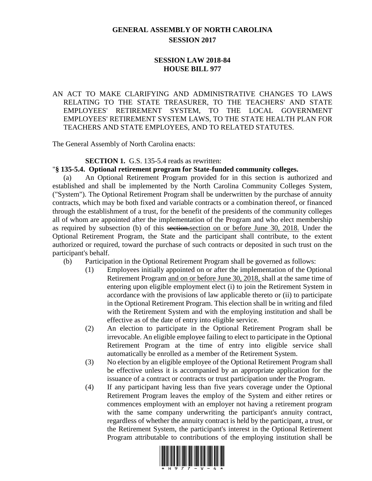# **GENERAL ASSEMBLY OF NORTH CAROLINA SESSION 2017**

### **SESSION LAW 2018-84 HOUSE BILL 977**

# AN ACT TO MAKE CLARIFYING AND ADMINISTRATIVE CHANGES TO LAWS RELATING TO THE STATE TREASURER, TO THE TEACHERS' AND STATE EMPLOYEES' RETIREMENT SYSTEM, TO THE LOCAL GOVERNMENT EMPLOYEES' RETIREMENT SYSTEM LAWS, TO THE STATE HEALTH PLAN FOR TEACHERS AND STATE EMPLOYEES, AND TO RELATED STATUTES.

The General Assembly of North Carolina enacts:

#### **SECTION 1.** G.S. 135-5.4 reads as rewritten:

#### "**§ 135-5.4. Optional retirement program for State-funded community colleges.**

(a) An Optional Retirement Program provided for in this section is authorized and established and shall be implemented by the North Carolina Community Colleges System, ("System"). The Optional Retirement Program shall be underwritten by the purchase of annuity contracts, which may be both fixed and variable contracts or a combination thereof, or financed through the establishment of a trust, for the benefit of the presidents of the community colleges all of whom are appointed after the implementation of the Program and who elect membership as required by subsection (b) of this section.section on or before June 30, 2018. Under the Optional Retirement Program, the State and the participant shall contribute, to the extent authorized or required, toward the purchase of such contracts or deposited in such trust on the participant's behalf.

- (b) Participation in the Optional Retirement Program shall be governed as follows:
	- (1) Employees initially appointed on or after the implementation of the Optional Retirement Program and on or before June 30, 2018, shall at the same time of entering upon eligible employment elect (i) to join the Retirement System in accordance with the provisions of law applicable thereto or (ii) to participate in the Optional Retirement Program. This election shall be in writing and filed with the Retirement System and with the employing institution and shall be effective as of the date of entry into eligible service.
	- (2) An election to participate in the Optional Retirement Program shall be irrevocable. An eligible employee failing to elect to participate in the Optional Retirement Program at the time of entry into eligible service shall automatically be enrolled as a member of the Retirement System.
	- (3) No election by an eligible employee of the Optional Retirement Program shall be effective unless it is accompanied by an appropriate application for the issuance of a contract or contracts or trust participation under the Program.
	- (4) If any participant having less than five years coverage under the Optional Retirement Program leaves the employ of the System and either retires or commences employment with an employer not having a retirement program with the same company underwriting the participant's annuity contract, regardless of whether the annuity contract is held by the participant, a trust, or the Retirement System, the participant's interest in the Optional Retirement Program attributable to contributions of the employing institution shall be

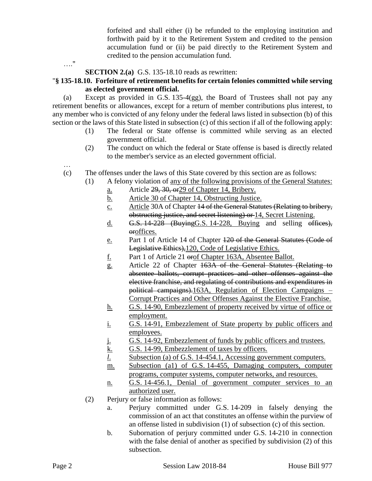forfeited and shall either (i) be refunded to the employing institution and forthwith paid by it to the Retirement System and credited to the pension accumulation fund or (ii) be paid directly to the Retirement System and credited to the pension accumulation fund.

…."

# **SECTION 2.(a)** G.S. 135-18.10 reads as rewritten:

# "**§ 135-18.10. Forfeiture of retirement benefits for certain felonies committed while serving as elected government official.**

(a) Except as provided in G.S. 135-4(gg), the Board of Trustees shall not pay any retirement benefits or allowances, except for a return of member contributions plus interest, to any member who is convicted of any felony under the federal laws listed in subsection (b) of this section or the laws of this State listed in subsection (c) of this section if all of the following apply:

- (1) The federal or State offense is committed while serving as an elected government official.
- (2) The conduct on which the federal or State offense is based is directly related to the member's service as an elected government official.
- …
- (c) The offenses under the laws of this State covered by this section are as follows:
	- (1) A felony violation of any of the following provisions of the General Statutes:
		- a. Article 29, 30, or29 of Chapter 14, Bribery.
		- b. Article 30 of Chapter 14, Obstructing Justice.
		- c. Article 30A of Chapter 14 of the General Statutes (Relating to bribery, obstructing justice, and secret listening) or 14, Secret Listening.
		- d. G.S. 14-228 (Buying G.S. 14-228, Buying and selling offices), oroffices.
		- e. Part 1 of Article 14 of Chapter 120 of the General Statutes (Code of Legislative Ethics),120, Code of Legislative Ethics.
		- f. Part 1 of Article 21 orof Chapter 163A, Absentee Ballot.
		- g. Article 22 of Chapter 163A of the General Statutes (Relating to absentee ballots, corrupt practices and other offenses against the elective franchise, and regulating of contributions and expenditures in political campaigns).163A, Regulation of Election Campaigns – Corrupt Practices and Other Offenses Against the Elective Franchise.
		- h. G.S. 14-90, Embezzlement of property received by virtue of office or employment.
		- i. G.S. 14-91, Embezzlement of State property by public officers and employees.
		- j. G.S. 14-92, Embezzlement of funds by public officers and trustees.
		- k. G.S. 14-99, Embezzlement of taxes by officers.
		- *l*. Subsection (a) of G.S. 14-454.1, Accessing government computers.
		- m. Subsection (a1) of G.S. 14-455, Damaging computers, computer programs, computer systems, computer networks, and resources.
		- n. G.S. 14-456.1, Denial of government computer services to an authorized user.
	- (2) Perjury or false information as follows:
		- a. Perjury committed under G.S. 14-209 in falsely denying the commission of an act that constitutes an offense within the purview of an offense listed in subdivision (1) of subsection (c) of this section.
		- b. Subornation of perjury committed under G.S. 14-210 in connection with the false denial of another as specified by subdivision (2) of this subsection.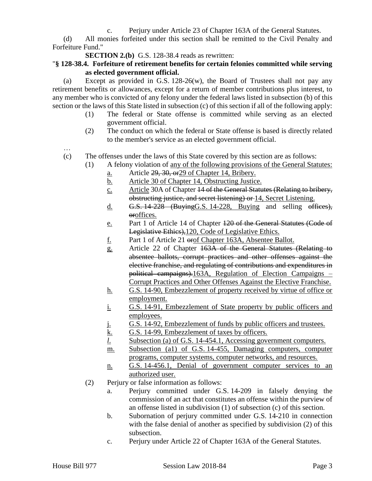c. Perjury under Article 23 of Chapter 163A of the General Statutes.

(d) All monies forfeited under this section shall be remitted to the Civil Penalty and Forfeiture Fund."

**SECTION 2.(b)** G.S. 128-38.4 reads as rewritten:

### "**§ 128-38.4. Forfeiture of retirement benefits for certain felonies committed while serving as elected government official.**

(a) Except as provided in G.S. 128-26(w), the Board of Trustees shall not pay any retirement benefits or allowances, except for a return of member contributions plus interest, to any member who is convicted of any felony under the federal laws listed in subsection (b) of this section or the laws of this State listed in subsection (c) of this section if all of the following apply:

- (1) The federal or State offense is committed while serving as an elected government official.
- (2) The conduct on which the federal or State offense is based is directly related to the member's service as an elected government official.
- (c) The offenses under the laws of this State covered by this section are as follows:
	- (1) A felony violation of any of the following provisions of the General Statutes:
		- a. Article 29, 30, or29 of Chapter 14, Bribery.
		- b. Article 30 of Chapter 14, Obstructing Justice.
		- c. Article 30A of Chapter 14 of the General Statutes (Relating to bribery, obstructing justice, and secret listening) or 14, Secret Listening.
		- $\underline{\mathbf{d}}$ . **G.S. 14-228** (Buying G.S. 14-228, Buying and selling offices), oroffices.
		- e. Part 1 of Article 14 of Chapter 120 of the General Statutes (Code of Legislative Ethics),120, Code of Legislative Ethics.
		- f. Part 1 of Article 21 orof Chapter 163A, Absentee Ballot.
		- g. Article 22 of Chapter 163A of the General Statutes (Relating to absentee ballots, corrupt practices and other offenses against the elective franchise, and regulating of contributions and expenditures in political campaigns).163A, Regulation of Election Campaigns – Corrupt Practices and Other Offenses Against the Elective Franchise.
		- h. G.S. 14-90, Embezzlement of property received by virtue of office or employment.
		- i. G.S. 14-91, Embezzlement of State property by public officers and employees.
		- j. G.S. 14-92, Embezzlement of funds by public officers and trustees.
		- k. G.S. 14-99, Embezzlement of taxes by officers.
		- *l*. Subsection (a) of G.S. 14-454.1, Accessing government computers.
		- m. Subsection (a1) of G.S. 14-455, Damaging computers, computer programs, computer systems, computer networks, and resources.
		- n. G.S. 14-456.1, Denial of government computer services to an authorized user.
		- (2) Perjury or false information as follows:
			- a. Perjury committed under G.S. 14-209 in falsely denying the commission of an act that constitutes an offense within the purview of an offense listed in subdivision (1) of subsection (c) of this section.
			- b. Subornation of perjury committed under G.S. 14-210 in connection with the false denial of another as specified by subdivision (2) of this subsection.
			- c. Perjury under Article 22 of Chapter 163A of the General Statutes.

…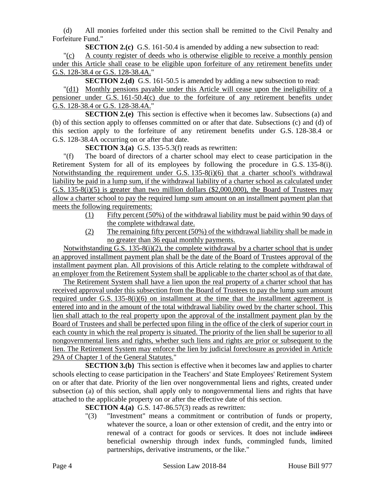(d) All monies forfeited under this section shall be remitted to the Civil Penalty and Forfeiture Fund."

**SECTION 2.(c)** G.S. 161-50.4 is amended by adding a new subsection to read:

"(c) A county register of deeds who is otherwise eligible to receive a monthly pension under this Article shall cease to be eligible upon forfeiture of any retirement benefits under G.S. 128-38.4 or G.S. 128-38.4A."

**SECTION 2.(d)** G.S. 161-50.5 is amended by adding a new subsection to read:

"(d1) Monthly pensions payable under this Article will cease upon the ineligibility of a pensioner under G.S. 161-50.4(c) due to the forfeiture of any retirement benefits under G.S. 128-38.4 or G.S. 128-38.4A."

**SECTION 2.(e)** This section is effective when it becomes law. Subsections (a) and (b) of this section apply to offenses committed on or after that date. Subsections (c) and (d) of this section apply to the forfeiture of any retirement benefits under G.S. 128-38.4 or G.S. 128-38.4A occurring on or after that date.

**SECTION 3.(a)** G.S. 135-5.3(f) reads as rewritten:

"(f) The board of directors of a charter school may elect to cease participation in the Retirement System for all of its employees by following the procedure in G.S. 135-8(i). Notwithstanding the requirement under G.S. 135-8(i)(6) that a charter school's withdrawal liability be paid in a lump sum, if the withdrawal liability of a charter school as calculated under G.S. 135-8(i)(5) is greater than two million dollars (\$2,000,000), the Board of Trustees may allow a charter school to pay the required lump sum amount on an installment payment plan that meets the following requirements:

- (1) Fifty percent (50%) of the withdrawal liability must be paid within 90 days of the complete withdrawal date.
- (2) The remaining fifty percent (50%) of the withdrawal liability shall be made in no greater than 36 equal monthly payments.

Notwithstanding G.S. 135-8(i)(2), the complete withdrawal by a charter school that is under an approved installment payment plan shall be the date of the Board of Trustees approval of the installment payment plan. All provisions of this Article relating to the complete withdrawal of an employer from the Retirement System shall be applicable to the charter school as of that date.

The Retirement System shall have a lien upon the real property of a charter school that has received approval under this subsection from the Board of Trustees to pay the lump sum amount required under G.S. 135-8(i)(6) on installment at the time that the installment agreement is entered into and in the amount of the total withdrawal liability owed by the charter school. This lien shall attach to the real property upon the approval of the installment payment plan by the Board of Trustees and shall be perfected upon filing in the office of the clerk of superior court in each county in which the real property is situated. The priority of the lien shall be superior to all nongovernmental liens and rights, whether such liens and rights are prior or subsequent to the lien. The Retirement System may enforce the lien by judicial foreclosure as provided in Article 29A of Chapter 1 of the General Statutes."

**SECTION 3.(b)** This section is effective when it becomes law and applies to charter schools electing to cease participation in the Teachers' and State Employees' Retirement System on or after that date. Priority of the lien over nongovernmental liens and rights, created under subsection (a) of this section, shall apply only to nongovernmental liens and rights that have attached to the applicable property on or after the effective date of this section.

**SECTION 4.(a)** G.S. 147-86.57(3) reads as rewritten:

"(3) "Investment" means a commitment or contribution of funds or property, whatever the source, a loan or other extension of credit, and the entry into or renewal of a contract for goods or services. It does not include indirect beneficial ownership through index funds, commingled funds, limited partnerships, derivative instruments, or the like."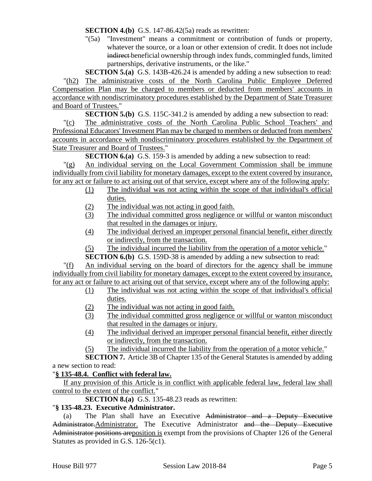**SECTION 4.(b)** G.S. 147-86.42(5a) reads as rewritten:

"(5a) "Investment" means a commitment or contribution of funds or property, whatever the source, or a loan or other extension of credit. It does not include indirect beneficial ownership through index funds, commingled funds, limited partnerships, derivative instruments, or the like."

**SECTION 5.(a)** G.S. 143B-426.24 is amended by adding a new subsection to read: "(h2) The administrative costs of the North Carolina Public Employee Deferred Compensation Plan may be charged to members or deducted from members' accounts in accordance with nondiscriminatory procedures established by the Department of State Treasurer and Board of Trustees."

**SECTION 5.(b)** G.S. 115C-341.2 is amended by adding a new subsection to read:

"(c) The administrative costs of the North Carolina Public School Teachers' and Professional Educators' Investment Plan may be charged to members or deducted from members' accounts in accordance with nondiscriminatory procedures established by the Department of State Treasurer and Board of Trustees."

**SECTION 6.(a)** G.S. 159-3 is amended by adding a new subsection to read:

"(g) An individual serving on the Local Government Commission shall be immune individually from civil liability for monetary damages, except to the extent covered by insurance, for any act or failure to act arising out of that service, except where any of the following apply:

- (1) The individual was not acting within the scope of that individual's official duties.
- (2) The individual was not acting in good faith.
- (3) The individual committed gross negligence or willful or wanton misconduct that resulted in the damages or injury.
- (4) The individual derived an improper personal financial benefit, either directly or indirectly, from the transaction.
- (5) The individual incurred the liability from the operation of a motor vehicle."

**SECTION 6.(b)** G.S. 159D-38 is amended by adding a new subsection to read:

"(f) An individual serving on the board of directors for the agency shall be immune individually from civil liability for monetary damages, except to the extent covered by insurance, for any act or failure to act arising out of that service, except where any of the following apply:

- (1) The individual was not acting within the scope of that individual's official duties.
- (2) The individual was not acting in good faith.
- (3) The individual committed gross negligence or willful or wanton misconduct that resulted in the damages or injury.
- (4) The individual derived an improper personal financial benefit, either directly or indirectly, from the transaction.
- (5) The individual incurred the liability from the operation of a motor vehicle."

**SECTION 7.** Article 3B of Chapter 135 of the General Statutes is amended by adding a new section to read:

# "**§ 135-48.4. Conflict with federal law.**

If any provision of this Article is in conflict with applicable federal law, federal law shall control to the extent of the conflict."

**SECTION 8.(a)** G.S. 135-48.23 reads as rewritten:

# "**§ 135-48.23. Executive Administrator.**

(a) The Plan shall have an Executive Administrator and a Deputy Executive Administrator. Administrator. The Executive Administrator and the Deputy Executive Administrator positions are position is exempt from the provisions of Chapter 126 of the General Statutes as provided in G.S. 126-5(c1).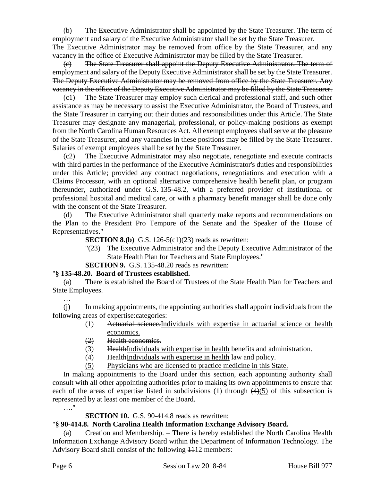(b) The Executive Administrator shall be appointed by the State Treasurer. The term of employment and salary of the Executive Administrator shall be set by the State Treasurer. The Executive Administrator may be removed from office by the State Treasurer, and any vacancy in the office of Executive Administrator may be filled by the State Treasurer.

(c) The State Treasurer shall appoint the Deputy Executive Administrator. The term of employment and salary of the Deputy Executive Administrator shall be set by the State Treasurer. The Deputy Executive Administrator may be removed from office by the State Treasurer. Any vacancy in the office of the Deputy Executive Administrator may be filled by the State Treasurer.

(c1) The State Treasurer may employ such clerical and professional staff, and such other assistance as may be necessary to assist the Executive Administrator, the Board of Trustees, and the State Treasurer in carrying out their duties and responsibilities under this Article. The State Treasurer may designate any managerial, professional, or policy-making positions as exempt from the North Carolina Human Resources Act. All exempt employees shall serve at the pleasure of the State Treasurer, and any vacancies in these positions may be filled by the State Treasurer. Salaries of exempt employees shall be set by the State Treasurer.

(c2) The Executive Administrator may also negotiate, renegotiate and execute contracts with third parties in the performance of the Executive Administrator's duties and responsibilities under this Article; provided any contract negotiations, renegotiations and execution with a Claims Processor, with an optional alternative comprehensive health benefit plan, or program thereunder, authorized under G.S. 135-48.2, with a preferred provider of institutional or professional hospital and medical care, or with a pharmacy benefit manager shall be done only with the consent of the State Treasurer.

(d) The Executive Administrator shall quarterly make reports and recommendations on the Plan to the President Pro Tempore of the Senate and the Speaker of the House of Representatives."

**SECTION 8.(b)** G.S. 126-5(c1)(23) reads as rewritten:

"(23) The Executive Administrator and the Deputy Executive Administrator of the State Health Plan for Teachers and State Employees."

**SECTION 9.** G.S. 135-48.20 reads as rewritten:

#### "**§ 135-48.20. Board of Trustees established.**

(a) There is established the Board of Trustees of the State Health Plan for Teachers and State Employees.

(j) In making appointments, the appointing authorities shall appoint individuals from the following areas of expertise: categories:

- (1) Actuarial science.Individuals with expertise in actuarial science or health economics.
- (2) Health economics.
- (3) Health Individuals with expertise in health benefits and administration.
- (4) HealthIndividuals with expertise in health law and policy.
- (5) Physicians who are licensed to practice medicine in this State.

In making appointments to the Board under this section, each appointing authority shall consult with all other appointing authorities prior to making its own appointments to ensure that each of the areas of expertise listed in subdivisions (1) through  $(4)(5)$  of this subsection is represented by at least one member of the Board.

…."

…

**SECTION 10.** G.S. 90-414.8 reads as rewritten:

#### "**§ 90-414.8. North Carolina Health Information Exchange Advisory Board.**

(a) Creation and Membership. – There is hereby established the North Carolina Health Information Exchange Advisory Board within the Department of Information Technology. The Advisory Board shall consist of the following 1112 members: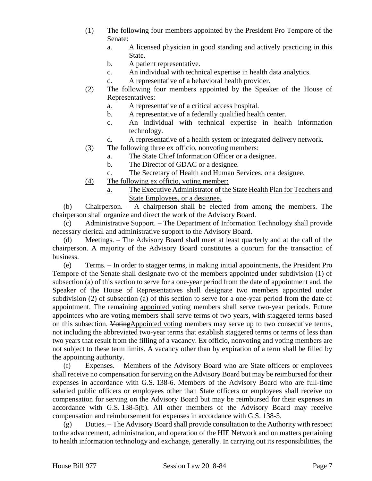- (1) The following four members appointed by the President Pro Tempore of the Senate:
	- a. A licensed physician in good standing and actively practicing in this State.
	- b. A patient representative.
	- c. An individual with technical expertise in health data analytics.
	- d. A representative of a behavioral health provider.
- (2) The following four members appointed by the Speaker of the House of Representatives:
	- a. A representative of a critical access hospital.
	- b. A representative of a federally qualified health center.
	- c. An individual with technical expertise in health information technology.
	- d. A representative of a health system or integrated delivery network.
- (3) The following three ex officio, nonvoting members:
	- a. The State Chief Information Officer or a designee.
	- b. The Director of GDAC or a designee.
	- c. The Secretary of Health and Human Services, or a designee.
- (4) The following ex officio, voting member:
	- a. The Executive Administrator of the State Health Plan for Teachers and State Employees, or a designee.

(b) Chairperson. – A chairperson shall be elected from among the members. The chairperson shall organize and direct the work of the Advisory Board.

(c) Administrative Support. – The Department of Information Technology shall provide necessary clerical and administrative support to the Advisory Board.

(d) Meetings. – The Advisory Board shall meet at least quarterly and at the call of the chairperson. A majority of the Advisory Board constitutes a quorum for the transaction of business.

(e) Terms. – In order to stagger terms, in making initial appointments, the President Pro Tempore of the Senate shall designate two of the members appointed under subdivision (1) of subsection (a) of this section to serve for a one-year period from the date of appointment and, the Speaker of the House of Representatives shall designate two members appointed under subdivision (2) of subsection (a) of this section to serve for a one-year period from the date of appointment. The remaining appointed voting members shall serve two-year periods. Future appointees who are voting members shall serve terms of two years, with staggered terms based on this subsection. VotingAppointed voting members may serve up to two consecutive terms, not including the abbreviated two-year terms that establish staggered terms or terms of less than two years that result from the filling of a vacancy. Ex officio, nonvoting and voting members are not subject to these term limits. A vacancy other than by expiration of a term shall be filled by the appointing authority.

(f) Expenses. – Members of the Advisory Board who are State officers or employees shall receive no compensation for serving on the Advisory Board but may be reimbursed for their expenses in accordance with G.S. 138-6. Members of the Advisory Board who are full-time salaried public officers or employees other than State officers or employees shall receive no compensation for serving on the Advisory Board but may be reimbursed for their expenses in accordance with G.S. 138-5(b). All other members of the Advisory Board may receive compensation and reimbursement for expenses in accordance with G.S. 138-5.

 $(g)$  Duties. – The Advisory Board shall provide consultation to the Authority with respect to the advancement, administration, and operation of the HIE Network and on matters pertaining to health information technology and exchange, generally. In carrying out its responsibilities, the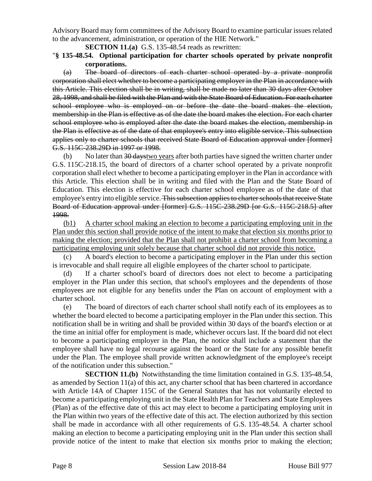Advisory Board may form committees of the Advisory Board to examine particular issues related to the advancement, administration, or operation of the HIE Network."

**SECTION 11.(a)** G.S. 135-48.54 reads as rewritten:

### "**§ 135-48.54. Optional participation for charter schools operated by private nonprofit corporations.**

(a) The board of directors of each charter school operated by a private nonprofit corporation shall elect whether to become a participating employer in the Plan in accordance with this Article. This election shall be in writing, shall be made no later than 30 days after October 28, 1998, and shall be filed with the Plan and with the State Board of Education. For each charter school employee who is employed on or before the date the board makes the election, membership in the Plan is effective as of the date the board makes the election. For each charter school employee who is employed after the date the board makes the election, membership in the Plan is effective as of the date of that employee's entry into eligible service. This subsection applies only to charter schools that received State Board of Education approval under [former] G.S. 115C-238.29D in 1997 or 1998.

(b) No later than 30 days two years after both parties have signed the written charter under G.S. 115C-218.15, the board of directors of a charter school operated by a private nonprofit corporation shall elect whether to become a participating employer in the Plan in accordance with this Article. This election shall be in writing and filed with the Plan and the State Board of Education. This election is effective for each charter school employee as of the date of that employee's entry into eligible service. This subsection applies to charter schools that receive State Board of Education approval under [former] G.S. 115C-238.29D [or G.S. 115C-218.5] after 1998.

(b1) A charter school making an election to become a participating employing unit in the Plan under this section shall provide notice of the intent to make that election six months prior to making the election; provided that the Plan shall not prohibit a charter school from becoming a participating employing unit solely because that charter school did not provide this notice.

(c) A board's election to become a participating employer in the Plan under this section is irrevocable and shall require all eligible employees of the charter school to participate.

(d) If a charter school's board of directors does not elect to become a participating employer in the Plan under this section, that school's employees and the dependents of those employees are not eligible for any benefits under the Plan on account of employment with a charter school.

(e) The board of directors of each charter school shall notify each of its employees as to whether the board elected to become a participating employer in the Plan under this section. This notification shall be in writing and shall be provided within 30 days of the board's election or at the time an initial offer for employment is made, whichever occurs last. If the board did not elect to become a participating employer in the Plan, the notice shall include a statement that the employee shall have no legal recourse against the board or the State for any possible benefit under the Plan. The employee shall provide written acknowledgment of the employee's receipt of the notification under this subsection."

**SECTION 11.(b)** Notwithstanding the time limitation contained in G.S. 135-48.54, as amended by Section 11(a) of this act, any charter school that has been chartered in accordance with Article 14A of Chapter 115C of the General Statutes that has not voluntarily elected to become a participating employing unit in the State Health Plan for Teachers and State Employees (Plan) as of the effective date of this act may elect to become a participating employing unit in the Plan within two years of the effective date of this act. The election authorized by this section shall be made in accordance with all other requirements of G.S. 135-48.54. A charter school making an election to become a participating employing unit in the Plan under this section shall provide notice of the intent to make that election six months prior to making the election;